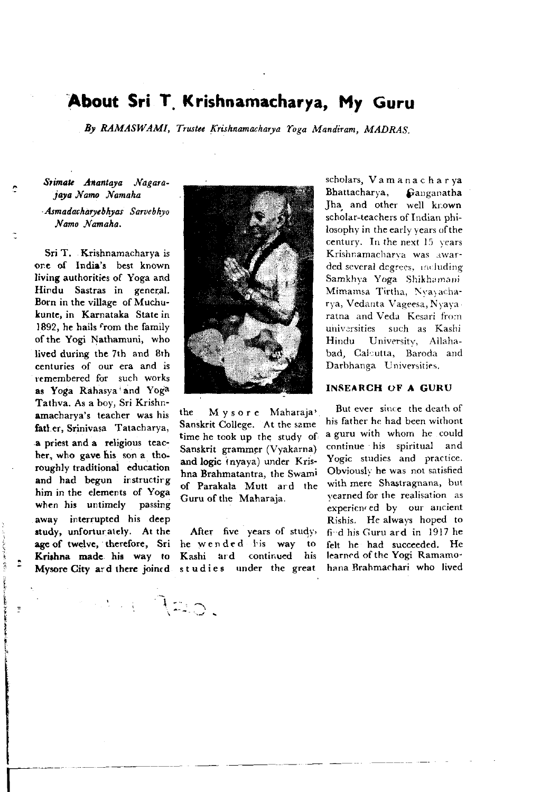# About Sri T. Krishnamacharya, My Guru

By RAMASWAMI, Trustee Krishnamacharya Yoga Mandiram, MADRAS.

#### Srimate Anantava Nagarajaya Namo Namaha

#### Asmadacharvebhyas Sarvebhyo Namo Namaha,

Sri T. Krishnamacharya is onc of Indie's best known Iiving authoritics of Yoga and Hindu Sastras in general. Born in the village of Muchulunte, in Karnataka State in 1892, he hails from the family of the Yogi Nathamuni, who lived during the 7th and 8th centuries of our era and is temembered for such works as Yoga Rahasya'and Yoga Tathva. As a boy, Sri Krishnamacharya's tcacher was his fatl er, Srinivasa Tatacharya, .a priest and a religious teachcr, who gavc his son a thoroughly traditional education and had begun instructirg him in the elements of Yoga when his untimely passing away interrupted his deep study, unforturately. At the agc of twelvc, therefore, Sri Krishna made his way to Mysore City ard there joined



the Mysore Maharaja' Sanskrit College. At the same time he tcok up the study of Sanskrit grammer (Vyakarna) and logic inyaya) under Krishna Brahmatantra, the Swami of Parakala Mutt ard the Guru of the Maharaja.

After five years of study, he wended l'is way to Kashi ard continued his studie6 under thc great

 $\sim$  120.

scholars, Vam a na c h a r ya Bhattacharya, Ganganatha Jha and other well kr-own scholar-teachers of Indian philosophy in the early years of the century. In the next  $15$  vears Krishnamacharya was awarded several degrees, including Samkhva Yoga Shikhamani Mimamsa Tirtha, Nyayacharya, Vedanta Vageesa, Nyaya ratna and Veda Kesari from universities such as Kashi Hindu University, Allahabad, Calcutta, Baroda and Darbhanga Universities.

#### INSEARCH OF A GURU

But ever since the death of his father he had been withont a guru with whom he could continue his spiritual and Yogic studies and practice. Obviously he was not satisfied with mere Shastragnana, but vearned for the realisation as experiented by our ancient Rishis. He always hoped to fi-d his Guru ard in l9l7 he felt he had succeeded. He learned of the Yogi Ramamohana Rrahmachari who lived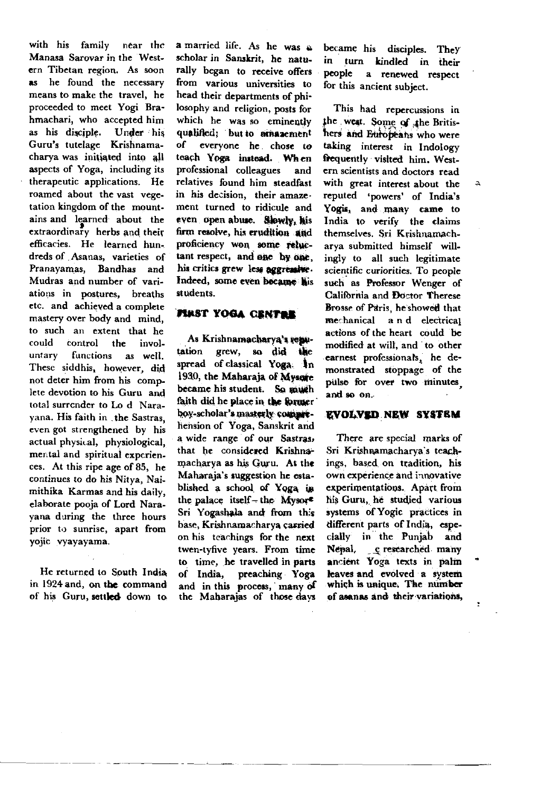with his family near the Manasa Sarovar in the Western Tibetan region. As soon as he found the necessary means to make the travel. he proceeded to meet Yogi Brahmachari, who accented him as his disciple. Under his Guru's tutelage Krishnamacharva was initiated into all aspects of Yoga, including its therapeutic applications. He roamed about the vast vegetation kingdom of the mountains and learned about the extraordinary herbs and their efficacies. He learned hundreds of Asanas, varieties of Pranayamas, Bandhas and Mudras and number of variations in postures, breaths etc. and achieved a complete mastery over body and mind. to such an extent that he could control the involuntary functions as well These siddhis, however, did not deter him from his complete devotion to his Guru and total surrender to Lo d Naravana. His faith in the Sastras. even got strengthened by his actual physical, physiological, mental and spiritual experiences. At this ripe age of 85, he continues to do his Nitva. Naimithika Karmas and his daily. elaborate pooja of Lord Narayana during the three hours prior to sunrise, apart from vojic vyavayama.

He returned to South India in 1924 and, on the command of his Guru, settled down to

a married life. As he was a scholar in Sanskrit, he naturally began to receive offers from various universities to head their departments of philosophy and religion, posts for which he was so eminently qualified: but to pressement of everyone he chose to teach Yoga instead. When professional colleagues and relatives found him steadfast in his decision, their amazement turned to ridicule and even open abuse. Slowly. his firm resolve, his erudition and proficiency won some reluctant respect, and one by one. his critics grew less aggressive. Indeed, some even became his students

### FINST YOGA CENTER

As Krishnamacharya's remutation grew, so did the spread of classical Yoga. In 1930, the Maharaia of Mysore became his student. So much faith did he place in the former bov-scholar's masterly comprehension of Yoga, Sanskrit and a wide range of our Sastras, that he considered Krishnamacharva as his Guru. At the Maharaja's suggestion he established a school of Yoga in the palace itself - the Mysor<sup>2</sup> Sri Yogashala and from this base, Krishnamacharva carried on his teachings for the next twen-tyfive years. From time to time, he travelled in parts of India, preaching Yoga and in this process, many of the Maharajas of those days

became his disciples. They in turn kindled in their people a renewed respect for this ancient subject.

This had repercussions in the west. Some of the Britishers and Europeans who were taking interest in Indology frequently visited him. Western scientists and doctors read with great interest about the reputed 'powers' of India's Yogis, and many came to India to verify the claims themselves Sri Krishnamach. arva submitted himself willingly to all such legitimate scientific curiorities. To people such as Professor Wenger of California and Doctor Therese Brosse of Paris, he showed that mechanical and electrical actions of the heart could be modified at will and to other earnest professionals, he demonstrated stoppage of the pulse for over two minutes and so on.

#### **EVOLVED NEW SYSTEM**

There are special marks of Sri Krishnamacharva's teachings, based on tradition, his own experience and innovative experimentations. Apart from his Guru. he studied various systems of Yogic practices in different parts of India, especially in the Puniab and Nepal, e researched many ancient Yoga texts in palm leaves and evolved a system which is unique. The number of asanas and their variations,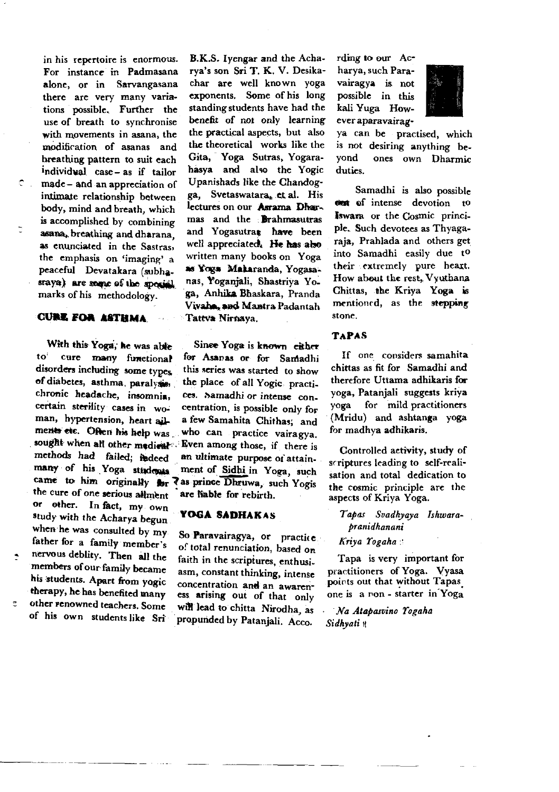in his repertoire is enormous. For instance in Padmasana alone, or in Sarvangasana there are very many variations possible. Further the use of breath to synchronise with movements in asana, the modification of asanas and breathing pattern to suit each individual case-as if tailor made-and an appreciation of intimate relationship between body, mind and breath, which is accomplished by combining asana, breathing and dharana. as enunciated in the Sastras. the emphasis on 'imaging' a peaceful Devatakara (subhasrava) are some of the special marks of his methodology.

 $\bullet$  .

#### **CURE FOR ASTHMA**

With this Yoga, he was able cure many functional to disorders including some types of diabetes, asthma, paralysis, chronic headache, insomnia, certain sterility cases in woman, hypertension, heart ailments etc. Often his help was sought when all other medical methods had failed; fadeed many of his Yoga students came to him originally for las prince Dhruwa, such Yogis the cure of one serious allment or other. In fact, my own study with the Acharya begun when he was consulted by my father for a family member's nervous deblity. Then all the members of our family became his students. Apart from yogic therapy, he has benefited many other renowned teachers. Some of his own students like Sri

B.K.S. Ivengar and the Acharva's son Sri T. K. V. Desikachar are well known yoga exponents. Some of his long standing students have had the benefit of not only learning the practical aspects, but also the theoretical works like the Gita, Yoga Sutras, Yogarahasya and also the Yogic Upanishads like the Chandogga. Svetaswatara, et al. His lectures on our Asrama Dharmas and the Brahmasutras and Yogasutras have been well appreciated. He has also written many books on Yoga as Yoga Makaranda, Yogasanas, Yoganjali, Shastriva Yoga, Anhika Bhaskara, Pranda Vivaha, and Mantra Padantah Tattva Nirnava.

Sinee Yoga is known cither for Asanas or for Samadhi this series was started to show the place of all Yogic practices. Samadhi or intense concentration, is possible only for a few Samahita Chithas; and who can practice vairagva. Even among those, if there is an ultimate purpose of attainment of Sidhi in Yoga, such are hable for rebirth.

#### YOGA SADHAKAS

So Paravairagya, or practice of total renunciation, based on faith in the scriptures, enthusiasm, constant thinking, intense concentration and an awareness arising out of that only will lead to chitta Nirodha, as propunded by Patanjali. Acco.

rding to our Acharva, such Paravairagya is not possible in this kali Yuga However aparavairag-



ya can be practised, which is not desiring anything beyond ones own Dharmic duties.

Samadhi is also possible out of intense devotion to Iswara or the Cosmic principle. Such devotees as Thyagaraja, Prahlada and others get into Samadhi easily due to their extremely pure heart. How about the rest. Vyuthana Chittas, the Kriva Yoga is mentioned, as the stepping stone

#### **TAPAS**

If one considers samahita chittas as fit for Samadhi and therefore Uttama adhikaris for yoga, Patanjali suggests kriya for mild practitioners voga (Mridu) and ashtanga voga for madhya adhikaris.

Controlled activity, study of scriptures leading to self-realisation and total dedication to the cosmic principle are the aspects of Kriya Yoga.

Tapas Svadhyaya Ishwara*branidhanani* 

Kriya Yogaha

Tapa is very important for practitioners of Yoga. Vvasa points out that without Tapas one is a ron - starter in Yoga

Na Atapasvino Yogaha Sidhvati \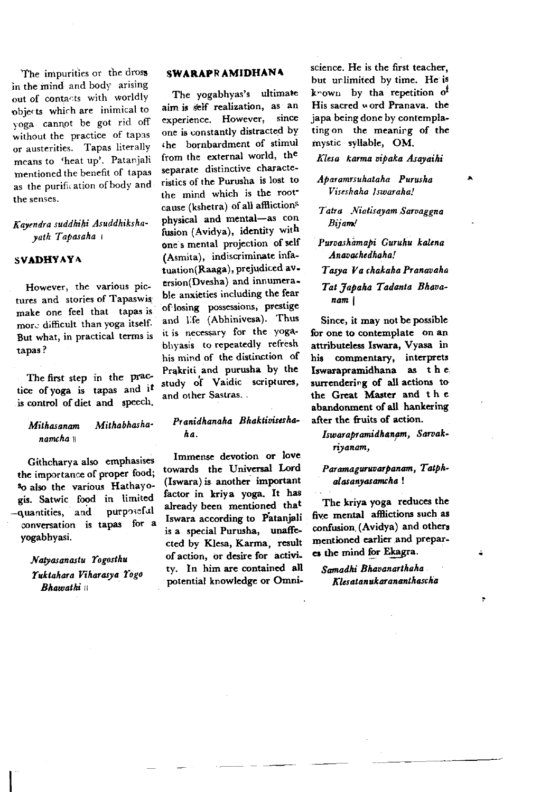The impurities or the dross in the mind and body arising out of contacts with worldly objects which are inimical to voga cannot be got rid off without the practice of tapas or austerities. Tapas literally means to 'heat up'. Patanjali mentioned the benefit of tapas as the purification of body and the senses.

#### Kavendra suddhihi Asuddhikshayath Tapasaha

#### **SVADHYAYA**

However, the various pictures and stories of Tapaswis make one feel that tapas is more difficult than yoga itself. But what, in practical terms is tapas?

The first step in the practice of yoga is tapas and it is control of diet and speech.

#### Mithabhasha-Mithasanam namcha #

Githcharya also emphasises the importance of proper food; so also the various Hathayogis. Satwic food in limited -quantities, and purposeful conversation is tapas for a vogabhvasi.

> Natyasanastu Yogosthu Yuktahara Viharasya Yogo **Bhamathi** #

#### SWARAPRAMIDHANA

The yogabhyas's ultimate aim is self realization, as an experience. However, since one is constantly distracted by the bornbardment of stimul from the external world. the separate distinctive characteristics of the Purusha is lost to the mind which is the rootcause (kshetra) of all afflictions physical and mental-as con fusion (Avidya), identity with one's mental projection of self (Asmita), indiscriminate infatuation(Raaga), prejudiced aversion(Dvesha) and innumerable anxieties including the fear of losing possessions, prestige and life (Abhinivesa). Thus it is necessary for the yogabhyasis to repeatedly refresh his mind of the distinction of Prakriti and purusha by the study of Vaidic scriptures, and other Sastras...

#### Pranidhanaha Bhaktivisesha- $\mathbf{A}$

Immense devotion or love towards the Universal Lord (Iswara) is another important factor in kriva voga. It has already been mentioned that Iswara according to Patanjali is a special Purusha, unaffected by Klesa, Karma, result of action, or desire for activity. In him are contained all potential knowledge or Omniscience. He is the first teacher, but unlimited by time. He is known by tha repetition of His sacred word Pranava, the japa being done by contemplating on the meaning of the mystic syllable, OM.

Klesa karma vibaka Asavaihi

Abaramrsuhataha Purusha Viseshaha Iswaraha!

Tatra Niatisayam Sarvagena Biiam!

Purvashamabi Guruhu kalena Anavachedhaha!

Tasva Va chakaha Pranavaha

Tat 7abaha Tadanta Bhavanam i

Since, it may not be possible for one to contemplate on an attributeless Iswara, Vyasa in his commentary, interprets Iswarapramidhana as the surrendering of all actions to the Great Master and the abandonment of all hankering after the fruits of action.

Iswarapramidhanam, Sarvakriyanam,

Paramaguruvarbanam, Tatphalasanyasamcha!

The kriya yoga reduces the five mental afflictions such as confusion (Avidya) and others mentioned earlier and prepares the mind for Ekagra.

Samadhi Bhavanarthaha Klesatanukarananthascha